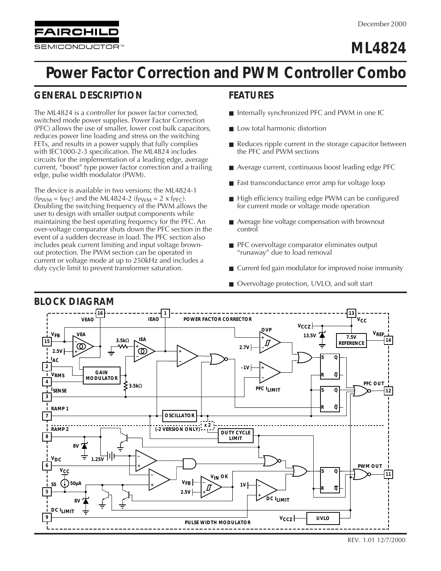**SEMICONDUCTOR** 

**FAIRCHILD** 

# **ML4824**

# **Power Factor Correction and PWM Controller Combo**

# **GENERAL DESCRIPTION**

The ML4824 is a controller for power factor corrected, switched mode power supplies. Power Factor Correction (PFC) allows the use of smaller, lower cost bulk capacitors, reduces power line loading and stress on the switching FETs, and results in a power supply that fully complies with IEC1000-2-3 specification. The ML4824 includes circuits for the implementation of a leading edge, average current, "boost" type power factor correction and a trailing edge, pulse width modulator (PWM).

The device is available in two versions; the ML4824-1  $(f_{\text{PWM}} = f_{\text{PFC}})$  and the ML4824-2  $(f_{\text{PWM}} = 2 \times f_{\text{PFC}})$ . Doubling the switching frequency of the PWM allows the user to design with smaller output components while maintaining the best operating frequency for the PFC. An over-voltage comparator shuts down the PFC section in the event of a sudden decrease in load. The PFC section also includes peak current limiting and input voltage brownout protection. The PWM section can be operated in current or voltage mode at up to 250kHz and includes a duty cycle limit to prevent transformer saturation.

### **FEATURES**

- Internally synchronized PFC and PWM in one IC
- Low total harmonic distortion
- Reduces ripple current in the storage capacitor between the PFC and PWM sections
- Average current, continuous boost leading edge PFC
- Fast transconductance error amp for voltage loop
- High efficiency trailing edge PWM can be configured for current mode or voltage mode operation
- Average line voltage compensation with brownout control
- PFC overvoltage comparator eliminates output "runaway" due to load removal
- Current fed gain modulator for improved noise immunity
- Overvoltage protection, UVLO, and soft start

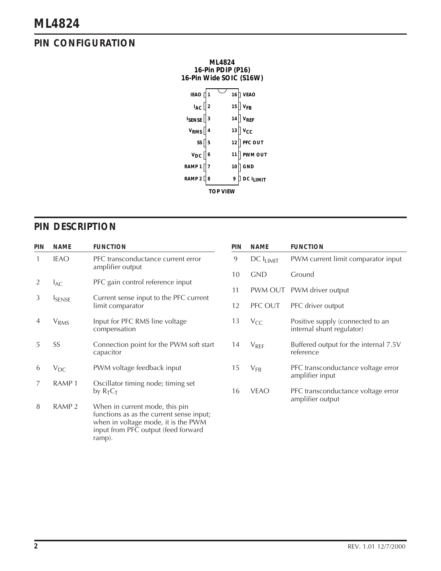# **PIN CONFIGURATION**



### **PIN DESCRIPTION**

| PIN | <b>NAME</b>             | <b>FUNCTION</b>                                                                                                                                                    | <b>PIN</b> | <b>NAME</b>    | <b>FUNCTION</b>                                               |
|-----|-------------------------|--------------------------------------------------------------------------------------------------------------------------------------------------------------------|------------|----------------|---------------------------------------------------------------|
|     | <b>IEAO</b>             | PFC transconductance current error<br>amplifier output                                                                                                             | 9          | $DC I_{LIMIT}$ | PWM current limit comparator input                            |
|     |                         |                                                                                                                                                                    | 10         | <b>GND</b>     | Ground                                                        |
|     | $I_{AC}$                | PFC gain control reference input                                                                                                                                   | 11         |                | PWM OUT PWM driver output                                     |
| 3   | <b>I</b> SENSE          | Current sense input to the PFC current                                                                                                                             |            |                |                                                               |
|     |                         | limit comparator                                                                                                                                                   | 12         | PFC OUT        | PFC driver output                                             |
| 4   | <b>V</b> <sub>RMS</sub> | Input for PFC RMS line voltage<br>compensation                                                                                                                     | 13         | $V_{CC}$       | Positive supply (connected to an<br>internal shunt regulator) |
| 5   | SS                      | Connection point for the PWM soft start<br>capacitor                                                                                                               | 14         | $V_{REF}$      | Buffered output for the internal 7.5V<br>reference            |
| 6   | $V_{DC}$                | PWM voltage feedback input                                                                                                                                         | 15         | $V_{FB}$       | PFC transconductance voltage error<br>amplifier input         |
|     | RAMP <sub>1</sub>       | Oscillator timing node; timing set<br>by $R_T C_T$                                                                                                                 | 16         | <b>VEAO</b>    | PFC transconductance voltage error                            |
| 8   | RAMP <sub>2</sub>       | When in current mode, this pin<br>functions as as the current sense input;<br>when in voltage mode, it is the PWM<br>input from PFC output (feed forward<br>ramp). |            |                | amplifier output                                              |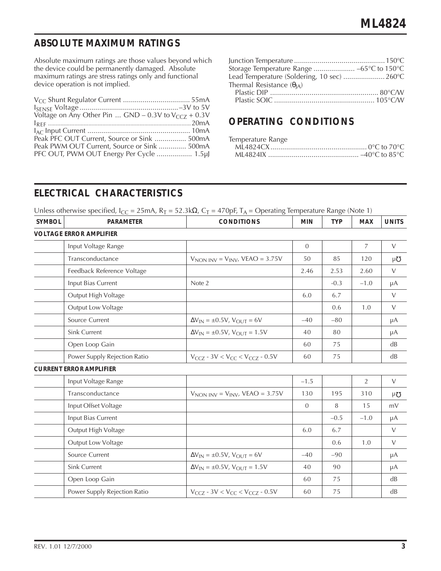### **ABSOLUTE MAXIMUM RATINGS**

Absolute maximum ratings are those values beyond which the device could be permanently damaged. Absolute maximum ratings are stress ratings only and functional device operation is not implied.

| Voltage on Any Other Pin $GND - 0.3V$ to $V_{CCZ} + 0.3V$ |  |
|-----------------------------------------------------------|--|
|                                                           |  |
|                                                           |  |
| Peak PFC OUT Current, Source or Sink  500mA               |  |
| Peak PWM OUT Current, Source or Sink  500mA               |  |
| PFC OUT, PWM OUT Energy Per Cycle  1.5µJ                  |  |

| Storage Temperature Range  -65°C to 150°C   |  |
|---------------------------------------------|--|
| Lead Temperature (Soldering, 10 sec)  260°C |  |
| Thermal Resistance $(\theta_{A})$           |  |
|                                             |  |
|                                             |  |

### **OPERATING CONDITIONS**

| Temperature Range |  |
|-------------------|--|
|                   |  |
|                   |  |

# **ELECTRICAL CHARACTERISTICS**

Unless otherwise specified,  $I_{CC} = 25 \text{mA}$ ,  $R_T = 52.3 \text{k}\Omega$ ,  $C_T = 470 \text{pF}$ ,  $T_A = \text{Operating Temperature Range (Note 1)}$ 

| <b>SYMBOL</b> | <b>PARAMETER</b>               | $\circ$<br><b>CONDITIONS</b>                    | <b>MIN</b>     | ○ ⊺<br><b>TYP</b> | <b>MAX</b> | <b>UNITS</b> |
|---------------|--------------------------------|-------------------------------------------------|----------------|-------------------|------------|--------------|
|               | <b>VOLTAGE ERROR AMPLIFIER</b> |                                                 |                |                   |            |              |
|               | Input Voltage Range            |                                                 | $\overline{0}$ |                   | 7          | $\vee$       |
|               | Transconductance               | $VNON INV = VINV$ , VEAO = 3.75V                | 50             | 85                | 120        | μΌ           |
|               | Feedback Reference Voltage     |                                                 | 2.46           | 2.53              | 2.60       | $\vee$       |
|               | Input Bias Current             | Note 2                                          |                | $-0.3$            | $-1.0$     | μA           |
|               | Output High Voltage            |                                                 | 6.0            | 6.7               |            | $\vee$       |
|               | Output Low Voltage             |                                                 |                | 0.6               | 1.0        | $\vee$       |
|               | Source Current                 | $\Delta V_{IN} = \pm 0.5 V$ , $V_{OUT} = 6V$    | $-40$          | $-80$             |            | $\mu A$      |
|               | Sink Current                   | $\Delta V_{IN} = \pm 0.5 V$ , $V_{OUT} = 1.5 V$ | 40             | 80                |            | μA           |
|               | Open Loop Gain                 |                                                 | 60             | 75                |            | dB           |
|               | Power Supply Rejection Ratio   | $V_{CCZ}$ - 3V < $V_{CC}$ < $V_{CCZ}$ - 0.5V    | 60             | 75                |            | dB           |
|               | <b>CURRENT ERROR AMPLIFIER</b> |                                                 |                |                   |            |              |
|               | Input Voltage Range            |                                                 | $-1.5$         |                   | 2          | $\vee$       |
|               | Transconductance               | $VNON INV = VINV$ , VEAO = 3.75V                | 130            | 195               | 310        | μ $\sigma$   |
|               | Input Offset Voltage           |                                                 | $\overline{0}$ | 8                 | 15         | mV           |
|               | Input Bias Current             |                                                 |                | $-0.5$            | $-1.0$     | μA           |
|               | Output High Voltage            |                                                 | 6.0            | 6.7               |            | $\vee$       |
|               | Output Low Voltage             |                                                 |                | 0.6               | 1.0        | $\vee$       |
|               | Source Current                 | $\Delta V_{IN} = \pm 0.5 V$ , $V_{OUT} = 6V$    | $-40$          | $-90$             |            | μA           |
|               | Sink Current                   | $\Delta V_{IN} = \pm 0.5 V$ , $V_{OUT} = 1.5 V$ | 40             | 90                |            | μA           |
|               | Open Loop Gain                 |                                                 | 60             | 75                |            | dB           |
|               | Power Supply Rejection Ratio   | $V_{CCZ}$ - 3V < $V_{CC}$ < $V_{CCZ}$ - 0.5V    | 60             | 75                |            | dB           |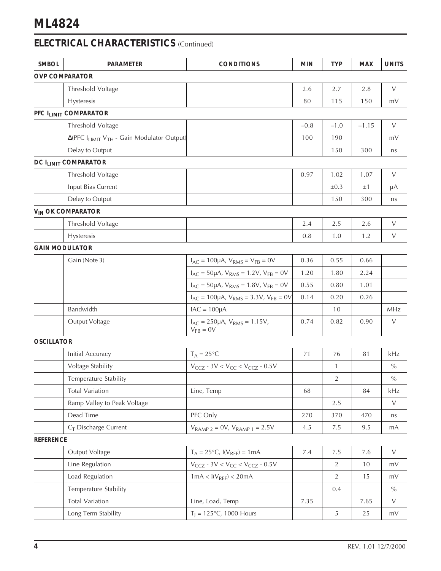# **ELECTRICAL CHARACTERISTICS** (Continued)

| <b>SMBOL</b>      | <b>PARAMETER</b>                                                          | <b>CONDITIONS</b>                                            | <b>MIN</b> | <b>TYP</b>   | <b>MAX</b> | <b>UNITS</b>  |
|-------------------|---------------------------------------------------------------------------|--------------------------------------------------------------|------------|--------------|------------|---------------|
|                   | <b>OVP COMPARATOR</b>                                                     |                                                              |            |              |            |               |
|                   | Threshold Voltage                                                         |                                                              | 2.6        | 2.7          | 2.8        | $\vee$        |
|                   | Hysteresis                                                                |                                                              | 80         | 115          | 150        | mV            |
|                   | PFC I <sub>LIMIT</sub> COMPARATOR                                         |                                                              |            |              |            |               |
|                   | Threshold Voltage                                                         |                                                              | $-0.8$     | $-1.0$       | $-1.15$    | $\vee$        |
|                   | $\Delta$ (PFC I <sub>LIMIT</sub> V <sub>TH</sub> - Gain Modulator Output) |                                                              | 100        | 190          |            | mV            |
|                   | Delay to Output                                                           |                                                              |            | 150          | 300        | ns            |
|                   | DC I <sub>LIMIT</sub> COMPARATOR                                          |                                                              |            |              |            |               |
|                   | Threshold Voltage                                                         |                                                              | 0.97       | 1.02         | 1.07       | $\vee$        |
|                   | Input Bias Current                                                        |                                                              |            | $\pm 0.3$    | $\pm 1$    | μA            |
|                   | Delay to Output                                                           |                                                              |            | 150          | 300        | ns            |
|                   | V <sub>IN</sub> OK COMPARATOR                                             |                                                              |            |              |            |               |
|                   | Threshold Voltage                                                         |                                                              | 2.4        | 2.5          | 2.6        | $\vee$        |
|                   | Hysteresis                                                                |                                                              | 0.8        | 1.0          | 1.2        | $\vee$        |
|                   | <b>GAIN MODULATOR</b>                                                     |                                                              |            |              |            |               |
|                   | Gain (Note 3)                                                             | $I_{AC} = 100 \mu A$ , $V_{RMS} = V_{FB} = 0V$               | 0.36       | 0.55         | 0.66       |               |
|                   |                                                                           | $I_{AC} = 50 \mu A$ , $V_{RMS} = 1.2 V$ , $V_{FB} = 0 V$     | 1.20       | 1.80         | 2.24       |               |
|                   |                                                                           | $I_{AC}$ = 50µA, $V_{RMS}$ = 1.8V, $V_{FB}$ = 0V             | 0.55       | 0.80         | 1.01       |               |
|                   |                                                                           | $I_{AC} = 100 \mu A$ , $V_{RMS} = 3.3 V$ , $V_{FB} = 0V$     | 0.14       | 0.20         | 0.26       |               |
|                   | Bandwidth                                                                 | $IAC = 100\mu A$                                             |            | 10           |            | MHz           |
|                   | Output Voltage                                                            | $I_{AC} = 250 \mu A$ , $V_{RMS} = 1.15 V$ ,<br>$V_{FB} = 0V$ | 0.74       | 0.82         | 0.90       | $\vee$        |
| <b>OSCILLATOR</b> |                                                                           |                                                              |            |              |            |               |
|                   | Initial Accuracy                                                          | $T_A = 25^{\circ}C$                                          | 71         | 76           | 81         | kHz           |
|                   | Voltage Stability                                                         | $V_{CCZ}$ - 3V < $V_{CC}$ < $V_{CCZ}$ - 0.5V                 |            | $\mathbf{1}$ |            | $\frac{0}{0}$ |
|                   | Temperature Stability                                                     |                                                              |            | $\sqrt{2}$   |            | $\%$          |
|                   | <b>Total Variation</b>                                                    | Line, Temp                                                   | 68         |              | 84         | kHz           |
|                   | Ramp Valley to Peak Voltage                                               |                                                              |            | 2.5          |            | $\vee$        |
|                   | Dead Time                                                                 | PFC Only                                                     | 270        | 370          | 470        | ns            |
|                   | $C_T$ Discharge Current                                                   | $V_{RAMP 2} = 0V$ , $V_{RAMP 1} = 2.5V$                      | 4.5        | 7.5          | 9.5        | mA            |
| <b>REFERENCE</b>  |                                                                           |                                                              |            |              |            |               |
|                   | Output Voltage                                                            | $T_A = 25$ °C, $I(V_{REF}) = 1 mA$                           | 7.4        | 7.5          | 7.6        | $\vee$        |
|                   | Line Regulation                                                           | $V_{CCZ}$ - 3V < $V_{CC}$ < $V_{CCZ}$ - 0.5V                 |            | $\sqrt{2}$   | 10         | mV            |
|                   | Load Regulation                                                           | $1mA < I(V_{REF}) < 20mA$                                    |            | 2            | 15         | mV            |
|                   | Temperature Stability                                                     |                                                              |            | 0.4          |            | $\%$          |
|                   | <b>Total Variation</b>                                                    | Line, Load, Temp                                             | 7.35       |              | 7.65       | $\vee$        |
|                   | Long Term Stability                                                       | $T_1 = 125^{\circ}C$ , 1000 Hours                            |            | 5            | 25         | mV            |
|                   |                                                                           |                                                              |            |              |            |               |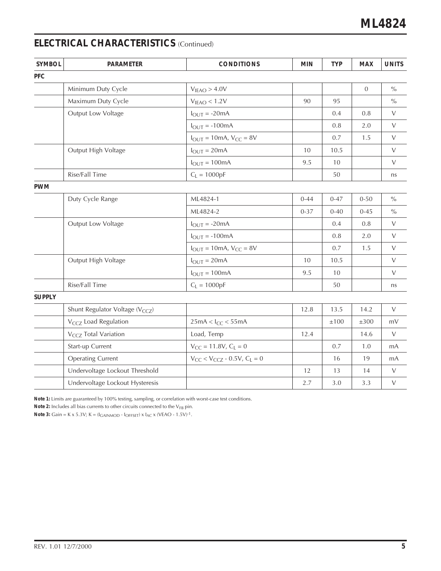# **ELECTRICAL CHARACTERISTICS** (Continued)

| <b>SYMBOL</b> | <b>PARAMETER</b>                            | <b>CONDITIONS</b>                                      | <b>MIN</b> | <b>TYP</b> | <b>MAX</b>       | <b>UNITS</b>    |
|---------------|---------------------------------------------|--------------------------------------------------------|------------|------------|------------------|-----------------|
| <b>PFC</b>    |                                             |                                                        |            |            |                  |                 |
|               | Minimum Duty Cycle                          | V <sub>IEAO</sub> > 4.0V                               |            |            | $\boldsymbol{0}$ | $\sqrt[0]{\!0}$ |
|               | Maximum Duty Cycle                          | V <sub>IEAO</sub> < 1.2V                               | 90         | 95         |                  | $\sqrt[0]{\!0}$ |
|               | Output Low Voltage                          | $I_{OUT} = -20mA$                                      |            | 0.4        | 0.8              | $\vee$          |
|               |                                             | $I_{OUT} = -100mA$                                     |            | $0.8\,$    | 2.0              | $\vee$          |
|               |                                             | $I_{OUT} = 10mA$ , $V_{CC} = 8V$                       |            | 0.7        | 1.5              | $\vee$          |
|               | Output High Voltage                         | $I_{OUT} = 20mA$                                       | 10         | 10.5       |                  | $\vee$          |
|               |                                             | $I_{OUT} = 100mA$                                      | 9.5        | 10         |                  | $\vee$          |
|               | Rise/Fall Time                              | $C_L = 1000pF$                                         |            | 50         |                  | ns              |
| <b>PWM</b>    |                                             |                                                        |            |            |                  |                 |
|               | Duty Cycle Range                            | ML4824-1                                               | $0 - 44$   | $0 - 47$   | $0 - 50$         | $\frac{0}{0}$   |
|               |                                             | ML4824-2                                               | $0 - 37$   | $0 - 40$   | $0 - 45$         | $\frac{0}{0}$   |
|               | Output Low Voltage                          | $I_{OUT} = -20mA$                                      |            | 0.4        | $0.8\,$          | $\vee$          |
|               |                                             | $I_{OUT} = -100mA$                                     |            | 0.8        | 2.0              | $\vee$          |
|               |                                             | $I_{\text{OUT}} = 10 \text{mA}$ , $V_{\text{CC}} = 8V$ |            | 0.7        | 1.5              | V               |
|               | Output High Voltage                         | $I_{OUT} = 20mA$                                       | 10         | 10.5       |                  | $\vee$          |
|               |                                             | $I_{OUT} = 100mA$                                      | 9.5        | 10         |                  | $\vee$          |
|               | Rise/Fall Time                              | $C_L = 1000pF$                                         |            | 50         |                  | ns              |
| <b>SUPPLY</b> |                                             |                                                        |            |            |                  |                 |
|               | Shunt Regulator Voltage (V <sub>CCZ</sub> ) |                                                        | 12.8       | 13.5       | 14.2             | $\vee$          |
|               | V <sub>CCZ</sub> Load Regulation            | $25mA < I_{CC} < 55mA$                                 |            | ±100       | $\pm 300$        | mV              |
|               | V <sub>CCZ</sub> Total Variation            | Load, Temp                                             | 12.4       |            | 14.6             | $\vee$          |
|               | Start-up Current                            | $V_{CC} = 11.8V, C_L = 0$                              |            | 0.7        | 1.0              | mA              |
|               | <b>Operating Current</b>                    | $V_{CC}$ < $V_{CCZ}$ - 0.5V, $C_L$ = 0                 |            | 16         | 19               | mA              |
|               | Undervoltage Lockout Threshold              |                                                        | 12         | 13         | 14               | $\vee$          |
|               | Undervoltage Lockout Hysteresis             |                                                        | 2.7        | 3.0        | 3.3              | $\vee$          |

**Note 1:** Limits are guaranteed by 100% testing, sampling, or correlation with worst-case test conditions.

Note 2: Includes all bias currents to other circuits connected to the V<sub>FB</sub> pin.

**Note 3:** Gain = K x 5.3V; K = (IGAINMOD - IOFFSET) x IAC x (VEAO - 1.5V)-1.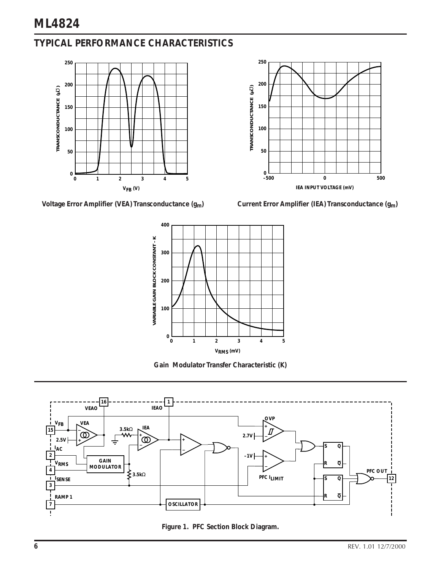# **TYPICAL PERFORMANCE CHARACTERISTICS**



Voltage Error Amplifier (VEA) Transconductance (g<sub>m</sub>) Current Error Amplifier (IEA) Transconductance (g<sub>m</sub>)





**Gain Modulator Transfer Characteristic (K)**



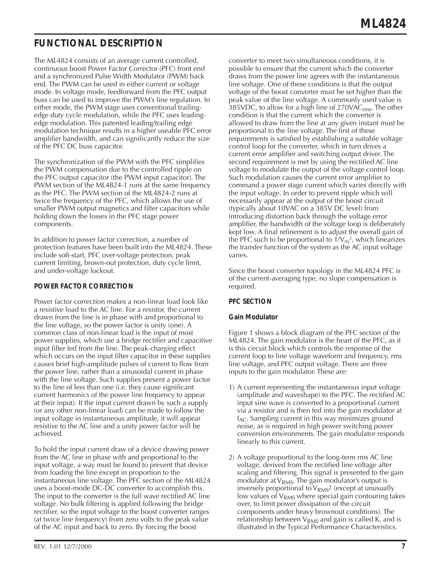# **FUNCTIONAL DESCRIPTION**

The ML4824 consists of an average current controlled, continuous boost Power Factor Corrector (PFC) front end and a synchronized Pulse Width Modulator (PWM) back end. The PWM can be used in either current or voltage mode. In voltage mode, feedforward from the PFC output buss can be used to improve the PWM's line regulation. In either mode, the PWM stage uses conventional trailingedge duty cycle modulation, while the PFC uses leadingedge modulation. This patented leading/trailing edge modulation technique results in a higher useable PFC error amplifier bandwidth, and can significantly reduce the size of the PFC DC buss capacitor.

The synchronization of the PWM with the PFC simplifies the PWM compensation due to the controlled ripple on the PFC output capacitor (the PWM input capacitor). The PWM section of the ML4824-1 runs at the same frequency as the PFC. The PWM section of the ML4824-2 runs at twice the frequency of the PFC, which allows the use of smaller PWM output magnetics and filter capacitors while holding down the losses in the PFC stage power components.

In addition to power factor correction, a number of protection features have been built into the ML4824. These include soft-start, PFC over-voltage protection, peak current limiting, brown-out protection, duty cycle limit, and under-voltage lockout.

### **POWER FACTOR CORRECTION**

Power factor correction makes a non-linear load look like a resistive load to the AC line. For a resistor, the current drawn from the line is in phase with and proportional to the line voltage, so the power factor is unity (one). A common class of non-linear load is the input of most power supplies, which use a bridge rectifier and capacitive input filter fed from the line. The peak-charging effect which occurs on the input filter capacitor in these supplies causes brief high-amplitude pulses of current to flow from the power line, rather than a sinusoidal current in phase with the line voltage. Such supplies present a power factor to the line of less than one (i.e. they cause significant current harmonics of the power line frequency to appear at their input). If the input current drawn by such a supply (or any other non-linear load) can be made to follow the input voltage in instantaneous amplitude, it will appear resistive to the AC line and a unity power factor will be achieved.

To hold the input current draw of a device drawing power from the AC line in phase with and proportional to the input voltage, a way must be found to prevent that device from loading the line except in proportion to the instantaneous line voltage. The PFC section of the ML4824 uses a boost-mode DC-DC converter to accomplish this. The input to the converter is the full wave rectified AC line voltage. No bulk filtering is applied following the bridge rectifier, so the input voltage to the boost converter ranges (at twice line frequency) from zero volts to the peak value of the AC input and back to zero. By forcing the boost

converter to meet two simultaneous conditions, it is possible to ensure that the current which the converter draws from the power line agrees with the instantaneous line voltage. One of these conditions is that the output voltage of the boost converter must be set higher than the peak value of the line voltage. A commonly used value is 385VDC, to allow for a high line of  $270\text{VAC}_{\text{rms}}$ . The other condition is that the current which the converter is allowed to draw from the line at any given instant must be proportional to the line voltage. The first of these requirements is satisfied by establishing a suitable voltage control loop for the converter, which in turn drives a current error amplifier and switching output driver. The second requirement is met by using the rectified AC line voltage to modulate the output of the voltage control loop. Such modulation causes the current error amplifier to command a power stage current which varies directly with the input voltage. In order to prevent ripple which will necessarily appear at the output of the boost circuit (typically about 10VAC on a 385V DC level) from introducing distortion back through the voltage error amplifier, the bandwidth of the voltage loop is deliberately kept low. A final refinement is to adjust the overall gain of the PFC such to be proportional to 1/V $_{\rm IN}$ 2, which linearizes the transfer function of the system as the AC input voltage varies.

Since the boost converter topology in the ML4824 PFC is of the current-averaging type, no slope compensation is required.

### **PFC SECTION**

### **Gain Modulator**

Figure 1 shows a block diagram of the PFC section of the ML4824. The gain modulator is the heart of the PFC, as it is this circuit block which controls the response of the current loop to line voltage waveform and frequency, rms line voltage, and PFC output voltage. There are three inputs to the gain modulator. These are:

- 1) A current representing the instantaneous input voltage (amplitude and waveshape) to the PFC. The rectified AC input sine wave is converted to a proportional current via a resistor and is then fed into the gain modulator at  $I_{AC}$ . Sampling current in this way minimizes ground noise, as is required in high power switching power conversion environments. The gain modulator responds linearly to this current.
- 2) A voltage proportional to the long-term rms AC line voltage, derived from the rectified line voltage after scaling and filtering. This signal is presented to the gain modulator at  $V<sub>RMS</sub>$ . The gain modulator's output is inversely proportional to  $V<sub>RMS</sub><sup>2</sup>$  (except at unusually low values of  $V<sub>RMS</sub>$  where special gain contouring takes over, to limit power dissipation of the circuit components under heavy brownout conditions). The relationship between  $V<sub>RMS</sub>$  and gain is called K, and is illustrated in the Typical Performance Characteristics.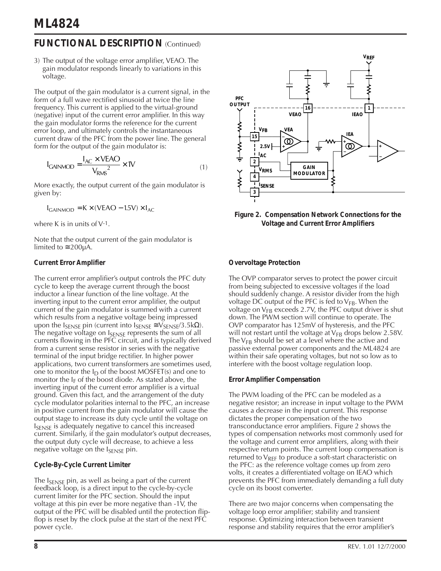### **FUNCTIONAL DESCRIPTION** (Continued)

3) The output of the voltage error amplifier, VEAO. The gain modulator responds linearly to variations in this voltage.

The output of the gain modulator is a current signal, in the form of a full wave rectified sinusoid at twice the line frequency. This current is applied to the virtual-ground (negative) input of the current error amplifier. In this way the gain modulator forms the reference for the current error loop, and ultimately controls the instantaneous current draw of the PFC from the power line. The general form for the output of the gain modulator is:

$$
I_{\text{GAINMOD}} = \frac{I_{\text{AC}} \times \text{VEAO}}{V_{\text{RMS}}^2} \times 10^{(1)}
$$

More exactly, the output current of the gain modulator is given by:

 $I_{\text{GAINMOD}} = K \times (VEAO - 1.5V) \times I_{AC}$ 

where K is in units of  $V^{-1}$ .

Note that the output current of the gain modulator is limited to  $\approx$  200µA.

### **Current Error Amplifier**

The current error amplifier's output controls the PFC duty cycle to keep the average current through the boost inductor a linear function of the line voltage. At the inverting input to the current error amplifier, the output current of the gain modulator is summed with a current which results from a negative voltage being impressed upon the  $I_{\text{SENSE}}$  pin (current into  $I_{\text{SENSE}} \cong V_{\text{SENSE}}/3.5 \text{k}\Omega$ ). The negative voltage on  $I_{\text{SENSE}}$  represents the sum of all currents flowing in the PFC circuit, and is typically derived from a current sense resistor in series with the negative terminal of the input bridge rectifier. In higher power applications, two current transformers are sometimes used, one to monitor the  $I_D$  of the boost MOSFET(s) and one to monitor the  $I_F$  of the boost diode. As stated above, the inverting input of the current error amplifier is a virtual ground. Given this fact, and the arrangement of the duty cycle modulator polarities internal to the PFC, an increase in positive current from the gain modulator will cause the output stage to increase its duty cycle until the voltage on I<sub>SENSE</sub> is adequately negative to cancel this increased current. Similarly, if the gain modulator's output decreases, the output duty cycle will decrease, to achieve a less negative voltage on the  $I_{\text{SENSE}}$  pin.

### **Cycle-By-Cycle Current Limiter**

The  $I_{SENSF}$  pin, as well as being a part of the current feedback loop, is a direct input to the cycle-by-cycle current limiter for the PFC section. Should the input voltage at this pin ever be more negative than -1V, the output of the PFC will be disabled until the protection flipflop is reset by the clock pulse at the start of the next PFC power cycle.



**Figure 2. Compensation Network Connections for the Voltage and Current Error Amplifiers**

### **Overvoltage Protection**

The OVP comparator serves to protect the power circuit from being subjected to excessive voltages if the load should suddenly change. A resistor divider from the high voltage DC output of the PFC is fed to  $V_{FB}$ . When the voltage on  $V_{FB}$  exceeds 2.7V, the PFC output driver is shut down. The PWM section will continue to operate. The OVP comparator has 125mV of hysteresis, and the PFC will not restart until the voltage at  $V_{FB}$  drops below 2.58V. The  $V_{FB}$  should be set at a level where the active and passive external power components and the ML4824 are within their safe operating voltages, but not so low as to interfere with the boost voltage regulation loop.

### **Error Amplifier Compensation**

The PWM loading of the PFC can be modeled as a negative resistor; an increase in input voltage to the PWM causes a decrease in the input current. This response dictates the proper compensation of the two transconductance error amplifiers. Figure 2 shows the types of compensation networks most commonly used for the voltage and current error amplifiers, along with their respective return points. The current loop compensation is returned to  $V_{RFF}$  to produce a soft-start characteristic on the PFC: as the reference voltage comes up from zero volts, it creates a differentiated voltage on IEAO which prevents the PFC from immediately demanding a full duty cycle on its boost converter.

There are two major concerns when compensating the voltage loop error amplifier; stability and transient response. Optimizing interaction between transient response and stability requires that the error amplifier's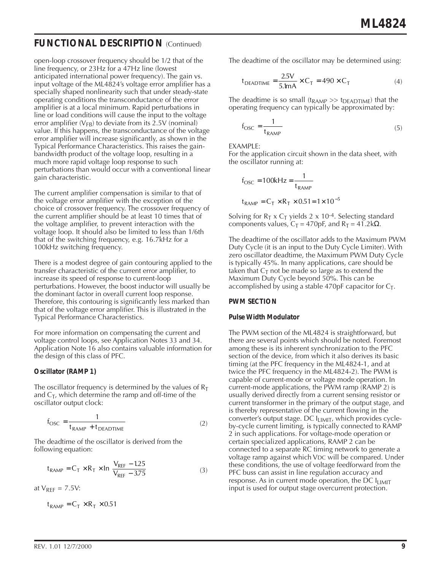### **FUNCTIONAL DESCRIPTION (Continued)**

open-loop crossover frequency should be 1/2 that of the line frequency, or 23Hz for a 47Hz line (lowest anticipated international power frequency). The gain vs. input voltage of the ML4824's voltage error amplifier has a specially shaped nonlinearity such that under steady-state operating conditions the transconductance of the error amplifier is at a local minimum. Rapid perturbations in line or load conditions will cause the input to the voltage error amplifier ( $V_{FB}$ ) to deviate from its 2.5V (nominal) value. If this happens, the transconductance of the voltage error amplifier will increase significantly, as shown in the Typical Performance Characteristics. This raises the gainbandwidth product of the voltage loop, resulting in a much more rapid voltage loop response to such perturbations than would occur with a conventional linear gain characteristic.

The current amplifier compensation is similar to that of the voltage error amplifier with the exception of the choice of crossover frequency. The crossover frequency of the current amplifier should be at least 10 times that of the voltage amplifier, to prevent interaction with the voltage loop. It should also be limited to less than 1/6th that of the switching frequency, e.g. 16.7kHz for a 100kHz switching frequency.

There is a modest degree of gain contouring applied to the transfer characteristic of the current error amplifier, to increase its speed of response to current-loop perturbations. However, the boost inductor will usually be the dominant factor in overall current loop response. Therefore, this contouring is significantly less marked than that of the voltage error amplifier. This is illustrated in the Typical Performance Characteristics.

For more information on compensating the current and voltage control loops, see Application Notes 33 and 34. Application Note 16 also contains valuable information for the design of this class of PFC.

### **Oscillator (RAMP 1)**

The oscillator frequency is determined by the values of  $R_T$ and  $C_T$ , which determine the ramp and off-time of the oscillator output clock:

$$
f_{\rm OSC} = \frac{1}{t_{\rm RAMP} + t_{\rm DEADTIME}}\tag{2}
$$

The deadtime of the oscillator is derived from the following equation:

$$
t_{RAMP} = C_T \times R_T \times ln \frac{V_{REF} - 1.25}{V_{REF} - 3.75}
$$
 (3)

at  $V_{RFF} = 7.5V$ :

$$
t_{RAMP} = C_T \times R_T \times 0.51
$$

The deadtime of the oscillator may be determined using:

$$
t_{DEADTIME} = \frac{2.5V}{5.1mA} \times C_T = 490 \times C_T
$$
 (4)

The deadtime is so small ( $t_{\rm RAMP} \gg t_{\rm DEADTIME}$ ) that the operating frequency can typically be approximated by:

$$
f_{\rm OSC} = \frac{1}{t_{\rm RAMP}}\tag{5}
$$

EXAMPLE:

For the application circuit shown in the data sheet, with the oscillator running at:

$$
f_{\text{OSC}} = 100 \text{kHz} = \frac{1}{t_{\text{RAMP}}}
$$

$$
t_{\text{RAMP}} = C_{\text{T}} \times R_{\text{T}} \times 0.51 = 1 \times 10^{-5}
$$

Solving for  $R_T \times C_T$  yields 2 x 10-4. Selecting standard components values,  $C_T = 470pF$ , and  $R_T = 41.2k\Omega$ .

The deadtime of the oscillator adds to the Maximum PWM Duty Cycle (it is an input to the Duty Cycle Limiter). With zero oscillator deadtime, the Maximum PWM Duty Cycle is typically 45%. In many applications, care should be taken that  $C_T$  not be made so large as to extend the Maximum Duty Cycle beyond 50%. This can be accomplished by using a stable 470pF capacitor for  $C_T$ .

#### **PWM SECTION**

#### **Pulse Width Modulator**

The PWM section of the ML4824 is straightforward, but there are several points which should be noted. Foremost among these is its inherent synchronization to the PFC section of the device, from which it also derives its basic timing (at the PFC frequency in the ML4824-1, and at twice the PFC frequency in the ML4824-2). The PWM is capable of current-mode or voltage mode operation. In current-mode applications, the PWM ramp (RAMP 2) is usually derived directly from a current sensing resistor or current transformer in the primary of the output stage, and is thereby representative of the current flowing in the converter's output stage. DC ILIMIT, which provides cycleby-cycle current limiting, is typically connected to RAMP 2 in such applications. For voltage-mode operation or certain specialized applications, RAMP 2 can be connected to a separate RC timing network to generate a voltage ramp against which VDC will be compared. Under these conditions, the use of voltage feedforward from the PFC buss can assist in line regulation accuracy and response. As in current mode operation, the DC  $I<sub>LIMIT</sub>$ input is used for output stage overcurrent protection.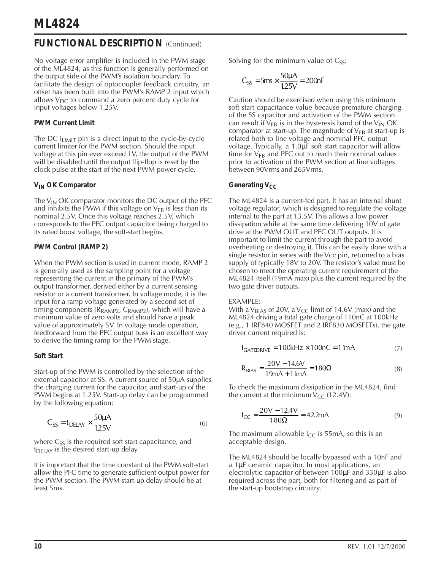### **FUNCTIONAL DESCRIPTION (Continued)**

No voltage error amplifier is included in the PWM stage of the ML4824, as this function is generally performed on the output side of the PWM's isolation boundary. To facilitate the design of optocoupler feedback circuitry, an offset has been built into the PWM's RAMP 2 input which allows  $V_{DC}$  to command a zero percent duty cycle for input voltages below 1.25V.

### **PWM Current Limit**

The DC I<sub>LIMIT</sub> pin is a direct input to the cycle-by-cycle current limiter for the PWM section. Should the input voltage at this pin ever exceed 1V, the output of the PWM will be disabled until the output flip-flop is reset by the clock pulse at the start of the next PWM power cycle.

### **VIN OK Comparator**

The  $V_{IN}$  OK comparator monitors the DC output of the PFC and inhibits the PWM if this voltage on  $V_{FB}$  is less than its nominal 2.5V. Once this voltage reaches 2.5V, which corresponds to the PFC output capacitor being charged to its rated boost voltage, the soft-start begins.

### **PWM Control (RAMP 2)**

When the PWM section is used in current mode, RAMP 2 is generally used as the sampling point for a voltage representing the current in the primary of the PWM's output transformer, derived either by a current sensing resistor or a current transformer. In voltage mode, it is the input for a ramp voltage generated by a second set of timing components ( $R_{RAMP2}$ ,  $C_{RAMP2}$ ), which will have a minimum value of zero volts and should have a peak value of approximately 5V. In voltage mode operation, feedforward from the PFC output buss is an excellent way to derive the timing ramp for the PWM stage.

### **Soft Start**

Start-up of the PWM is controlled by the selection of the external capacitor at SS. A current source of 50µA supplies the charging current for the capacitor, and start-up of the PWM begins at 1.25V. Start-up delay can be programmed by the following equation:

$$
C_{SS} = t_{DELAY} \times \frac{50\mu A}{1.25V}
$$
 (6)

where  $C_{SS}$  is the required soft start capacitance, and  $t<sub>DELAY</sub>$  is the desired start-up delay.

It is important that the time constant of the PWM soft-start allow the PFC time to generate sufficient output power for the PWM section. The PWM start-up delay should be at least 5ms.

Solving for the minimum value of  $C_{SS}$ :

$$
C_{SS} = 5ms \times \frac{50 \mu A}{1.25 V} = 200 nF
$$

Caution should be exercised when using this minimum soft start capacitance value because premature charging of the SS capacitor and activation of the PWM section can result if  $V_{FB}$  is in the hysteresis band of the  $V_{IN}$  OK comparator at start-up. The magnitude of  $V_{FB}$  at start-up is related both to line voltage and nominal PFC output voltage. Typically, a 1.0µF soft start capacitor will allow time for  $V_{FB}$  and PFC out to reach their nominal values prior to activation of the PWM section at line voltages between 90Vrms and 265Vrms.

### **Generating V<sub>CC</sub>**

The ML4824 is a current-fed part. It has an internal shunt voltage regulator, which is designed to regulate the voltage internal to the part at 13.5V. This allows a low power dissipation while at the same time delivering 10V of gate drive at the PWM OUT and PFC OUT outputs. It is important to limit the current through the part to avoid overheating or destroying it. This can be easily done with a single resistor in series with the Vcc pin, returned to a bias supply of typically 18V to 20V. The resistor's value must be chosen to meet the operating current requirement of the ML4824 itself (19mA max) plus the current required by the two gate driver outputs.

#### EXAMPLE:

With a V<sub>BIAS</sub> of 20V, a V<sub>CC</sub> limit of 14.6V (max) and the ML4824 driving a total gate charge of 110nC at 100kHz (e.g., 1 IRF840 MOSFET and 2 IRF830 MOSFETs), the gate driver current required is:

$$
I_{GATEDRIVE} = 100kHz \times 100nC = 11mA
$$
 (7)

$$
R_{B|AS} = \frac{20V - 14.6V}{19mA + 11mA} = 180\Omega
$$
 (8)

To check the maximum dissipation in the ML4824, find the current at the minimum  $V_{CC}$  (12.4V):

$$
I_{CC} = \frac{20V - 12.4V}{180\Omega} = 42.2mA
$$
 (9)

The maximum allowable  $I_{CC}$  is 55mA, so this is an acceptable design.

The ML4824 should be locally bypassed with a 10nF and a 1µF ceramic capacitor. In most applications, an electrolytic capacitor of between 100µF and 330µF is also required across the part, both for filtering and as part of the start-up bootstrap circuitry.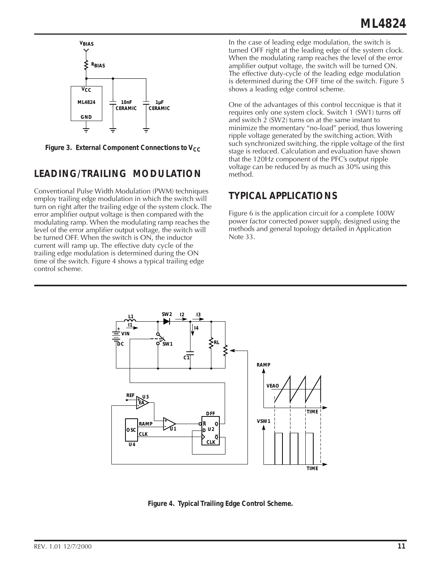

Figure 3. External Component Connections to V<sub>CC</sub>

# **LEADING/TRAILING MODULATION**

Conventional Pulse Width Modulation (PWM) techniques employ trailing edge modulation in which the switch will turn on right after the trailing edge of the system clock. The error amplifier output voltage is then compared with the modulating ramp. When the modulating ramp reaches the level of the error amplifier output voltage, the switch will be turned OFF. When the switch is ON, the inductor current will ramp up. The effective duty cycle of the trailing edge modulation is determined during the ON time of the switch. Figure 4 shows a typical trailing edge control scheme.

In the case of leading edge modulation, the switch is turned OFF right at the leading edge of the system clock. When the modulating ramp reaches the level of the error amplifier output voltage, the switch will be turned ON. The effective duty-cycle of the leading edge modulation is determined during the OFF time of the switch. Figure 5 shows a leading edge control scheme.

One of the advantages of this control teccnique is that it requires only one system clock. Switch 1 (SW1) turns off and switch 2 (SW2) turns on at the same instant to minimize the momentary "no-load" period, thus lowering ripple voltage generated by the switching action. With such synchronized switching, the ripple voltage of the first stage is reduced. Calculation and evaluation have shown that the 120Hz component of the PFC's output ripple voltage can be reduced by as much as 30% using this method.

### **TYPICAL APPLICATIONS**

Figure 6 is the application circuit for a complete 100W power factor corrected power supply, designed using the methods and general topology detailed in Application Note 33.



**Figure 4. Typical Trailing Edge Control Scheme.**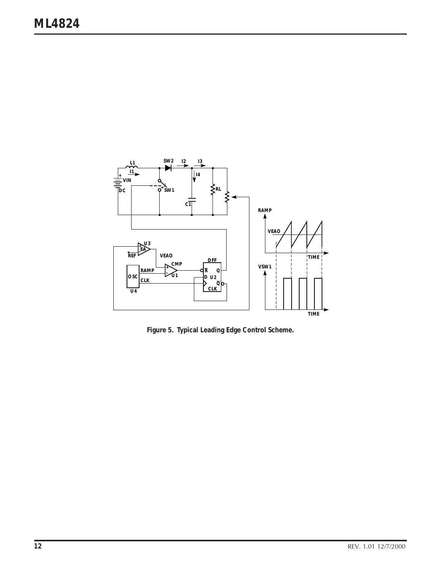

**Figure 5. Typical Leading Edge Control Scheme.**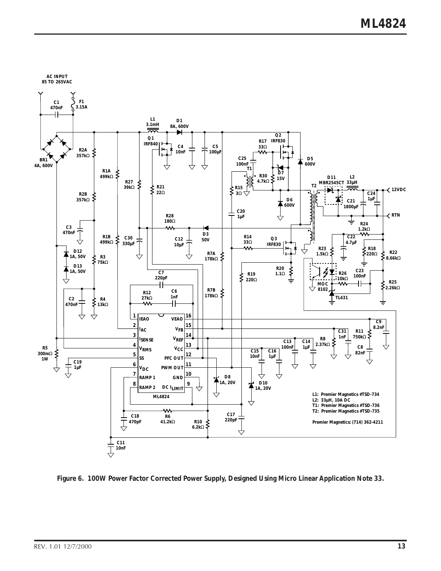

**Figure 6. 100W Power Factor Corrected Power Supply, Designed Using Micro Linear Application Note 33.**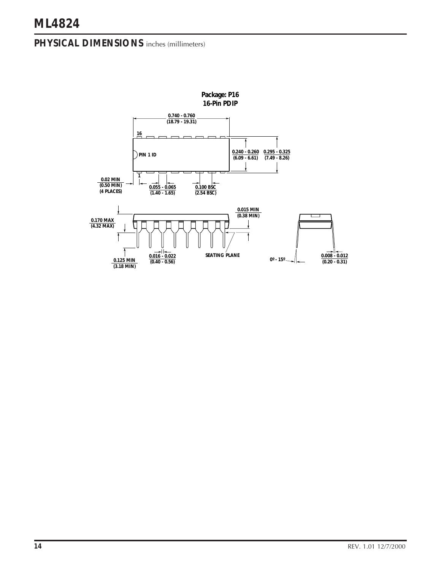### **PHYSICAL DIMENSIONS** inches (millimeters)

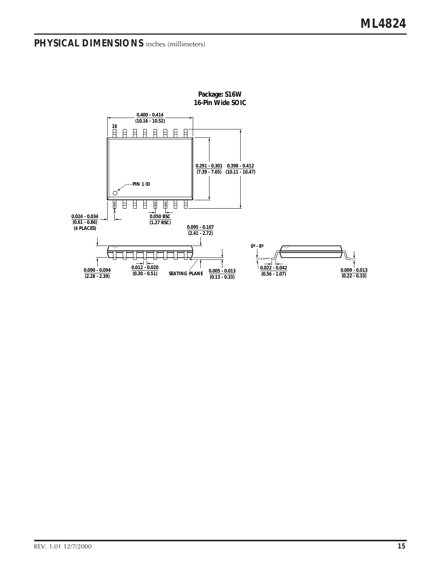# **PHYSICAL DIMENSIONS** inches (millimeters)